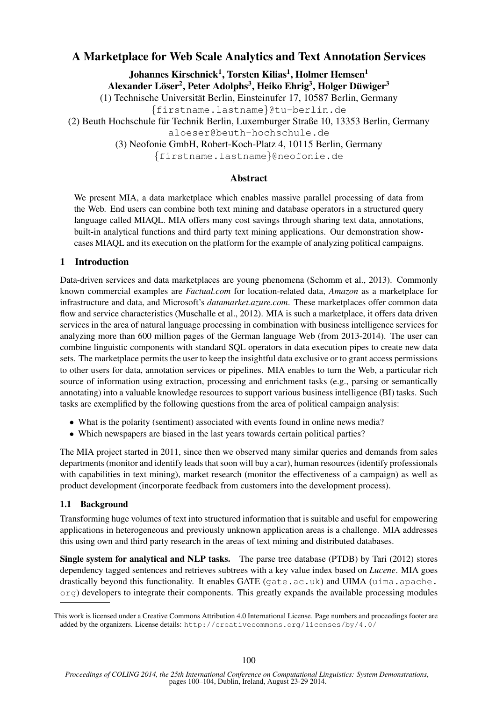# A Marketplace for Web Scale Analytics and Text Annotation Services

Johannes Kirschnick $^1,$  Torsten Kilias $^1,$  Holmer Hemsen $^1$ 

Alexander Löser<sup>2</sup>, Peter Adolphs<sup>3</sup>, Heiko Ehrig<sup>3</sup>, Holger Düwiger<sup>3</sup>

(1) Technische Universitat Berlin, Einsteinufer 17, 10587 Berlin, Germany ¨

{firstname.lastname}@tu-berlin.de

(2) Beuth Hochschule fur Technik Berlin, Luxemburger Straße 10, 13353 Berlin, Germany ¨

aloeser@beuth-hochschule.de

(3) Neofonie GmbH, Robert-Koch-Platz 4, 10115 Berlin, Germany

{firstname.lastname}@neofonie.de

### Abstract

We present MIA, a data marketplace which enables massive parallel processing of data from the Web. End users can combine both text mining and database operators in a structured query language called MIAQL. MIA offers many cost savings through sharing text data, annotations, built-in analytical functions and third party text mining applications. Our demonstration showcases MIAQL and its execution on the platform for the example of analyzing political campaigns.

### 1 Introduction

Data-driven services and data marketplaces are young phenomena (Schomm et al., 2013). Commonly known commercial examples are *Factual.com* for location-related data, *Amazon* as a marketplace for infrastructure and data, and Microsoft's *datamarket.azure.com*. These marketplaces offer common data flow and service characteristics (Muschalle et al., 2012). MIA is such a marketplace, it offers data driven services in the area of natural language processing in combination with business intelligence services for analyzing more than 600 million pages of the German language Web (from 2013-2014). The user can combine linguistic components with standard SQL operators in data execution pipes to create new data sets. The marketplace permits the user to keep the insightful data exclusive or to grant access permissions to other users for data, annotation services or pipelines. MIA enables to turn the Web, a particular rich source of information using extraction, processing and enrichment tasks (e.g., parsing or semantically annotating) into a valuable knowledge resources to support various business intelligence (BI) tasks. Such tasks are exemplified by the following questions from the area of political campaign analysis:

- What is the polarity (sentiment) associated with events found in online news media?
- Which newspapers are biased in the last years towards certain political parties?

The MIA project started in 2011, since then we observed many similar queries and demands from sales departments (monitor and identify leads that soon will buy a car), human resources (identify professionals with capabilities in text mining), market research (monitor the effectiveness of a campaign) as well as product development (incorporate feedback from customers into the development process).

### 1.1 Background

Transforming huge volumes of text into structured information that is suitable and useful for empowering applications in heterogeneous and previously unknown application areas is a challenge. MIA addresses this using own and third party research in the areas of text mining and distributed databases.

Single system for analytical and NLP tasks. The parse tree database (PTDB) by Tari (2012) stores dependency tagged sentences and retrieves subtrees with a key value index based on *Lucene*. MIA goes drastically beyond this functionality. It enables GATE (gate.ac.uk) and UIMA (uima.apache. org) developers to integrate their components. This greatly expands the available processing modules

This work is licensed under a Creative Commons Attribution 4.0 International License. Page numbers and proceedings footer are added by the organizers. License details: http://creativecommons.org/licenses/by/4.0/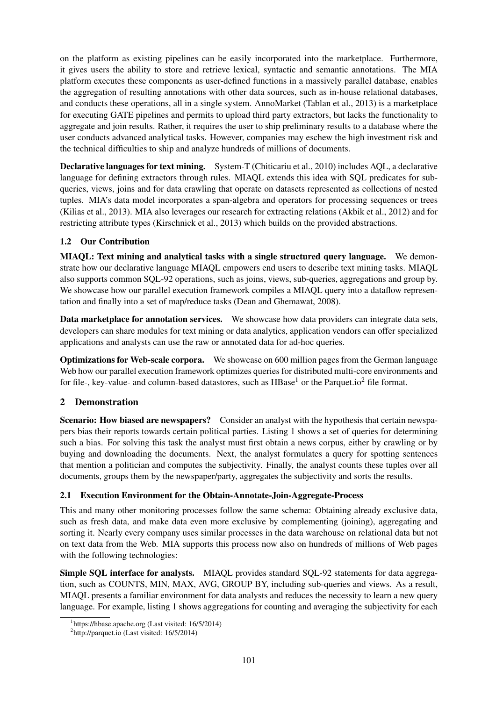on the platform as existing pipelines can be easily incorporated into the marketplace. Furthermore, it gives users the ability to store and retrieve lexical, syntactic and semantic annotations. The MIA platform executes these components as user-defined functions in a massively parallel database, enables the aggregation of resulting annotations with other data sources, such as in-house relational databases, and conducts these operations, all in a single system. AnnoMarket (Tablan et al., 2013) is a marketplace for executing GATE pipelines and permits to upload third party extractors, but lacks the functionality to aggregate and join results. Rather, it requires the user to ship preliminary results to a database where the user conducts advanced analytical tasks. However, companies may eschew the high investment risk and the technical difficulties to ship and analyze hundreds of millions of documents.

Declarative languages for text mining. System-T (Chiticariu et al., 2010) includes AQL, a declarative language for defining extractors through rules. MIAQL extends this idea with SQL predicates for subqueries, views, joins and for data crawling that operate on datasets represented as collections of nested tuples. MIA's data model incorporates a span-algebra and operators for processing sequences or trees (Kilias et al., 2013). MIA also leverages our research for extracting relations (Akbik et al., 2012) and for restricting attribute types (Kirschnick et al., 2013) which builds on the provided abstractions.

### 1.2 Our Contribution

MIAQL: Text mining and analytical tasks with a single structured query language. We demonstrate how our declarative language MIAQL empowers end users to describe text mining tasks. MIAQL also supports common SQL-92 operations, such as joins, views, sub-queries, aggregations and group by. We showcase how our parallel execution framework compiles a MIAQL query into a dataflow representation and finally into a set of map/reduce tasks (Dean and Ghemawat, 2008).

Data marketplace for annotation services. We showcase how data providers can integrate data sets, developers can share modules for text mining or data analytics, application vendors can offer specialized applications and analysts can use the raw or annotated data for ad-hoc queries.

Optimizations for Web-scale corpora. We showcase on 600 million pages from the German language Web how our parallel execution framework optimizes queries for distributed multi-core environments and for file-, key-value- and column-based datastores, such as  $HBase<sup>1</sup>$  or the Parquet.io<sup>2</sup> file format.

# 2 Demonstration

Scenario: How biased are newspapers? Consider an analyst with the hypothesis that certain newspapers bias their reports towards certain political parties. Listing 1 shows a set of queries for determining such a bias. For solving this task the analyst must first obtain a news corpus, either by crawling or by buying and downloading the documents. Next, the analyst formulates a query for spotting sentences that mention a politician and computes the subjectivity. Finally, the analyst counts these tuples over all documents, groups them by the newspaper/party, aggregates the subjectivity and sorts the results.

## 2.1 Execution Environment for the Obtain-Annotate-Join-Aggregate-Process

This and many other monitoring processes follow the same schema: Obtaining already exclusive data, such as fresh data, and make data even more exclusive by complementing (joining), aggregating and sorting it. Nearly every company uses similar processes in the data warehouse on relational data but not on text data from the Web. MIA supports this process now also on hundreds of millions of Web pages with the following technologies:

Simple SQL interface for analysts. MIAQL provides standard SQL-92 statements for data aggregation, such as COUNTS, MIN, MAX, AVG, GROUP BY, including sub-queries and views. As a result, MIAQL presents a familiar environment for data analysts and reduces the necessity to learn a new query language. For example, listing 1 shows aggregations for counting and averaging the subjectivity for each

<sup>&</sup>lt;sup>1</sup>https://hbase.apache.org (Last visited: 16/5/2014)

<sup>&</sup>lt;sup>2</sup>http://parquet.io (Last visited: 16/5/2014)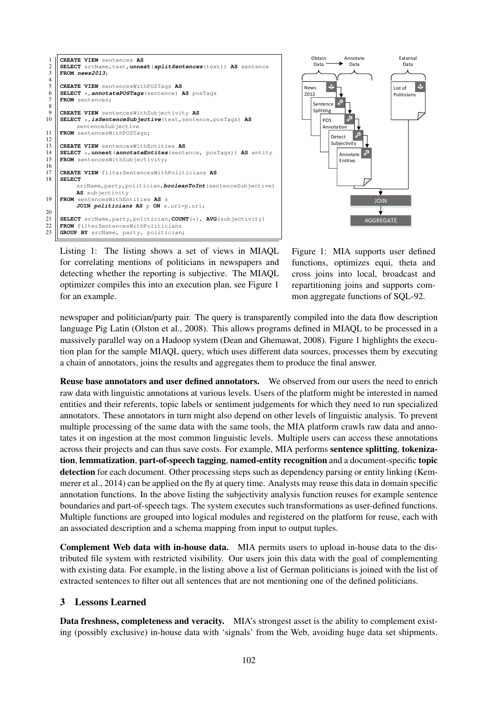



Listing 1: The listing shows a set of views in MIAQL for correlating mentions of politicians in newspapers and detecting whether the reporting is subjective. The MIAQL optimizer compiles this into an execution plan, see Figure 1 for an example.

Figure 1: MIA supports user defined functions, optimizes equi, theta and cross joins into local, broadcast and repartitioning joins and supports common aggregate functions of SQL-92.

newspaper and politician/party pair. The query is transparently compiled into the data flow description language Pig Latin (Olston et al., 2008). This allows programs defined in MIAQL to be processed in a massively parallel way on a Hadoop system (Dean and Ghemawat, 2008). Figure 1 highlights the execution plan for the sample MIAQL query, which uses different data sources, processes them by executing a chain of annotators, joins the results and aggregates them to produce the final answer.

Reuse base annotators and user defined annotators. We observed from our users the need to enrich raw data with linguistic annotations at various levels. Users of the platform might be interested in named entities and their referents, topic labels or sentiment judgements for which they need to run specialized annotators. These annotators in turn might also depend on other levels of linguistic analysis. To prevent multiple processing of the same data with the same tools, the MIA platform crawls raw data and annotates it on ingestion at the most common linguistic levels. Multiple users can access these annotations across their projects and can thus save costs. For example, MIA performs sentence splitting, tokenization, lemmatization, part-of-speech tagging, named-entity recognition and a document-specific topic detection for each document. Other processing steps such as dependency parsing or entity linking (Kemmerer et al., 2014) can be applied on the fly at query time. Analysts may reuse this data in domain specific annotation functions. In the above listing the subjectivity analysis function reuses for example sentence boundaries and part-of-speech tags. The system executes such transformations as user-defined functions. Multiple functions are grouped into logical modules and registered on the platform for reuse, each with an associated description and a schema mapping from input to output tuples.

Complement Web data with in-house data. MIA permits users to upload in-house data to the distributed file system with restricted visibility. Our users join this data with the goal of complementing with existing data. For example, in the listing above a list of German politicians is joined with the list of extracted sentences to filter out all sentences that are not mentioning one of the defined politicians.

#### 3 Lessons Learned

Data freshness, completeness and veracity. MIA's strongest asset is the ability to complement existing (possibly exclusive) in-house data with 'signals' from the Web, avoiding huge data set shipments.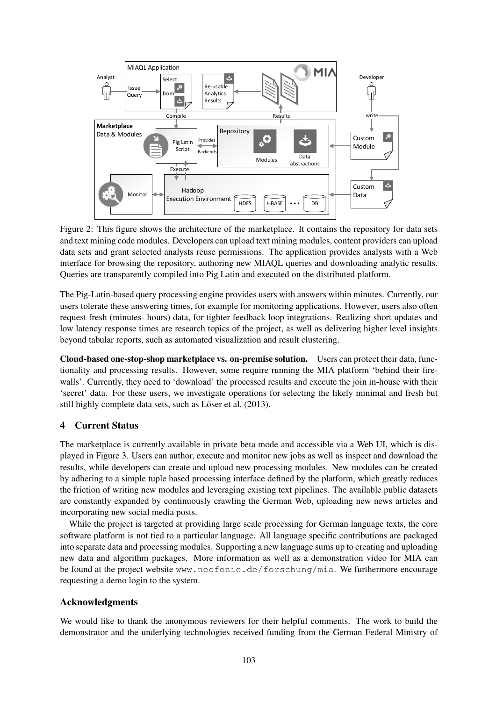

Figure 2: This figure shows the architecture of the marketplace. It contains the repository for data sets and text mining code modules. Developers can upload text mining modules, content providers can upload data sets and grant selected analysts reuse permissions. The application provides analysts with a Web interface for browsing the repository, authoring new MIAQL queries and downloading analytic results. Queries are transparently compiled into Pig Latin and executed on the distributed platform.

The Pig-Latin-based query processing engine provides users with answers within minutes. Currently, our users tolerate these answering times, for example for monitoring applications. However, users also often request fresh (minutes- hours) data, for tighter feedback loop integrations. Realizing short updates and low latency response times are research topics of the project, as well as delivering higher level insights beyond tabular reports, such as automated visualization and result clustering.

Cloud-based one-stop-shop marketplace vs. on-premise solution. Users can protect their data, functionality and processing results. However, some require running the MIA platform 'behind their firewalls'. Currently, they need to 'download' the processed results and execute the join in-house with their 'secret' data. For these users, we investigate operations for selecting the likely minimal and fresh but still highly complete data sets, such as Löser et al. (2013).

## 4 Current Status

The marketplace is currently available in private beta mode and accessible via a Web UI, which is displayed in Figure 3. Users can author, execute and monitor new jobs as well as inspect and download the results, while developers can create and upload new processing modules. New modules can be created by adhering to a simple tuple based processing interface defined by the platform, which greatly reduces the friction of writing new modules and leveraging existing text pipelines. The available public datasets are constantly expanded by continuously crawling the German Web, uploading new news articles and incorporating new social media posts.

While the project is targeted at providing large scale processing for German language texts, the core software platform is not tied to a particular language. All language specific contributions are packaged into separate data and processing modules. Supporting a new language sums up to creating and uploading new data and algorithm packages. More information as well as a demonstration video for MIA can be found at the project website www.neofonie.de/forschung/mia. We furthermore encourage requesting a demo login to the system.

### Acknowledgments

We would like to thank the anonymous reviewers for their helpful comments. The work to build the demonstrator and the underlying technologies received funding from the German Federal Ministry of